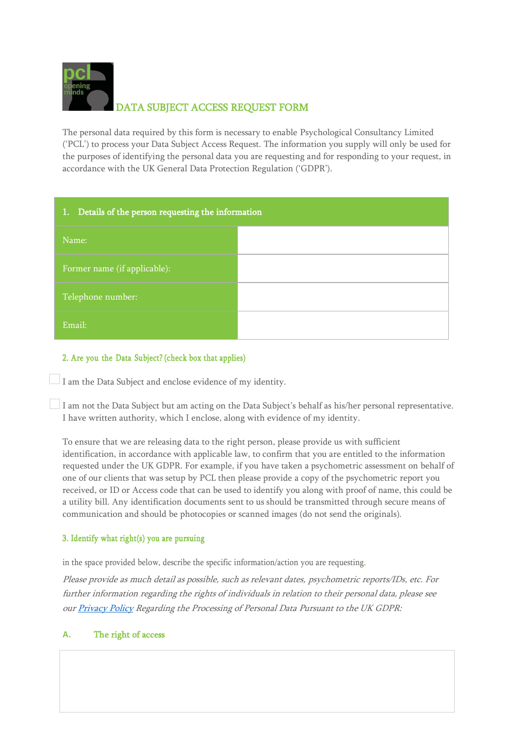

The personal data required by this form is necessary to enable Psychological Consultancy Limited ('PCL') to process your Data Subject Access Request. The information you supply will only be used for the purposes of identifying the personal data you are requesting and for responding to your request, in accordance with the UK General Data Protection Regulation ('GDPR').

| 1. Details of the person requesting the information |  |
|-----------------------------------------------------|--|
| Name:                                               |  |
| Former name (if applicable):                        |  |
| Telephone number:                                   |  |
| Email:                                              |  |

# 2. Are you the Data Subject? (check box that applies)

 $\Box$  I am the Data Subject and enclose evidence of my identity.

I am not the Data Subject but am acting on the Data Subject's behalf as his/her personal representative. I have written authority, which I enclose, along with evidence of my identity.

To ensure that we are releasing data to the right person, please provide us with sufficient identification, in accordance with applicable law, to confirm that you are entitled to the information requested under the UK GDPR. For example, if you have taken a psychometric assessment on behalf of one of our clients that was setup by PCL then please provide a copy of the psychometric report you received, or ID or Access code that can be used to identify you along with proof of name, this could be a utility bill. Any identification documents sent to us should be transmitted through secure means of communication and should be photocopies or scanned images (do not send the originals).

## 3. Identify what right(s) you are pursuing

in the space provided below, describe the specific information/action you are requesting.

Please provide as much detail as possible, such as relevant dates, psychometric reports/IDs, etc. For further information regarding the rights of individuals in relation to their personal data, please see ou[r Privacy Policy](https://www.psychological-consultancy.com/contact-us/privacy-policy/) Regarding the Processing of Personal Data Pursuant to the UK GDPR:

## **A.** The right of access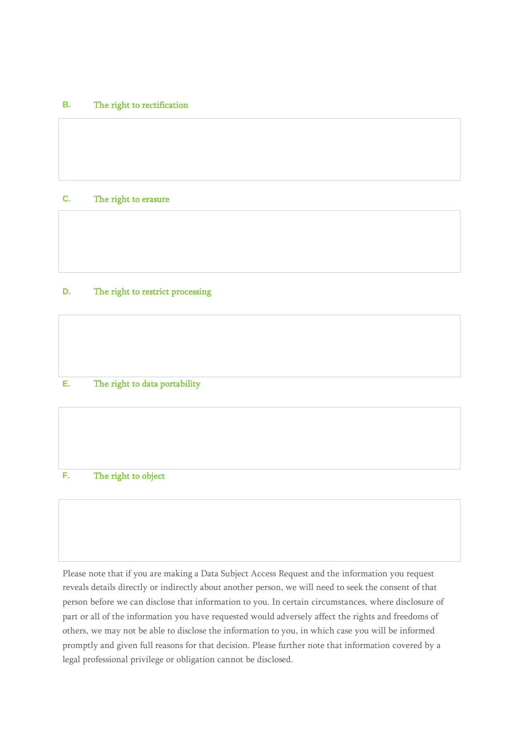### **B.** The right to rectification

### **C.** The right to erasure

## **D.** The right to restrict processing

#### **E.** The right to data portability

## **F.** The right to object

Please note that if you are making a Data Subject Access Request and the information you request reveals details directly or indirectly about another person, we will need to seek the consent of that person before we can disclose that information to you. In certain circumstances, where disclosure of part or all of the information you have requested would adversely affect the rights and freedoms of others, we may not be able to disclose the information to you, in which case you will be informed promptly and given full reasons for that decision. Please further note that information covered by a legal professional privilege or obligation cannot be disclosed.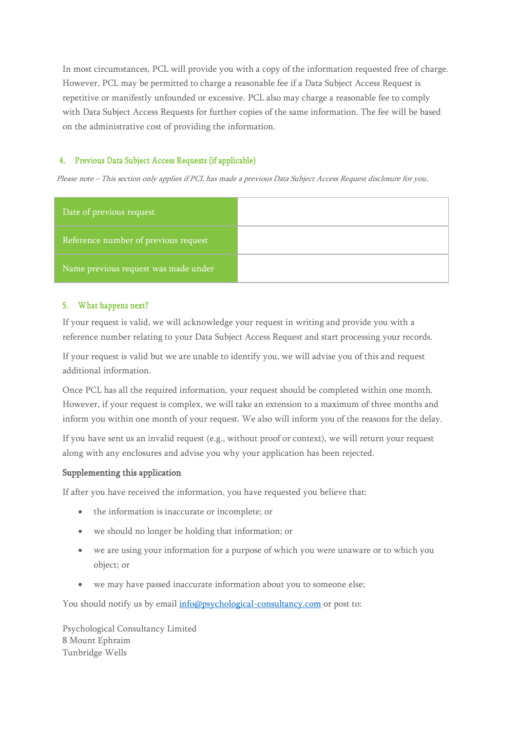In most circumstances, PCL will provide you with a copy of the information requested free of charge. However, PCL may be permitted to charge a reasonable fee if a Data Subject Access Request is repetitive or manifestly unfounded or excessive. PCL also may charge a reasonable fee to comply with Data Subject Access Requests for further copies of the same information. The fee will be based on the administrative cost of providing the information.

## 4. Previous Data Subject Access Requests (if applicable)

Please note – This section only applies if PCL has made <sup>a</sup> previous Data Subject Access Request disclosure for you.

| Date of previous request             |  |
|--------------------------------------|--|
| Reference number of previous request |  |
| Name previous request was made under |  |

#### 5. What happens next?

If your request is valid, we will acknowledge your request in writing and provide you with a reference number relating to your Data Subject Access Request and start processing your records.

If your request is valid but we are unable to identify you, we will advise you of this and request additional information.

Once PCL has all the required information, your request should be completed within one month. However, if your request is complex, we will take an extension to a maximum of three months and inform you within one month of your request. We also will inform you of the reasons for the delay.

If you have sent us an invalid request (e.g., without proof or context), we will return your request along with any enclosures and advise you why your application has been rejected.

### Supplementing this application

If after you have received the information, you have requested you believe that:

- the information is inaccurate or incomplete; or
- we should no longer be holding that information; or
- we are using your information for a purpose of which you were unaware or to which you object; or
- we may have passed inaccurate information about you to someone else;

You should notify us by email  $info@p$ sychological-consultancy.com or post to:

Psychological Consultancy Limited 8 Mount Ephraim Tunbridge Wells